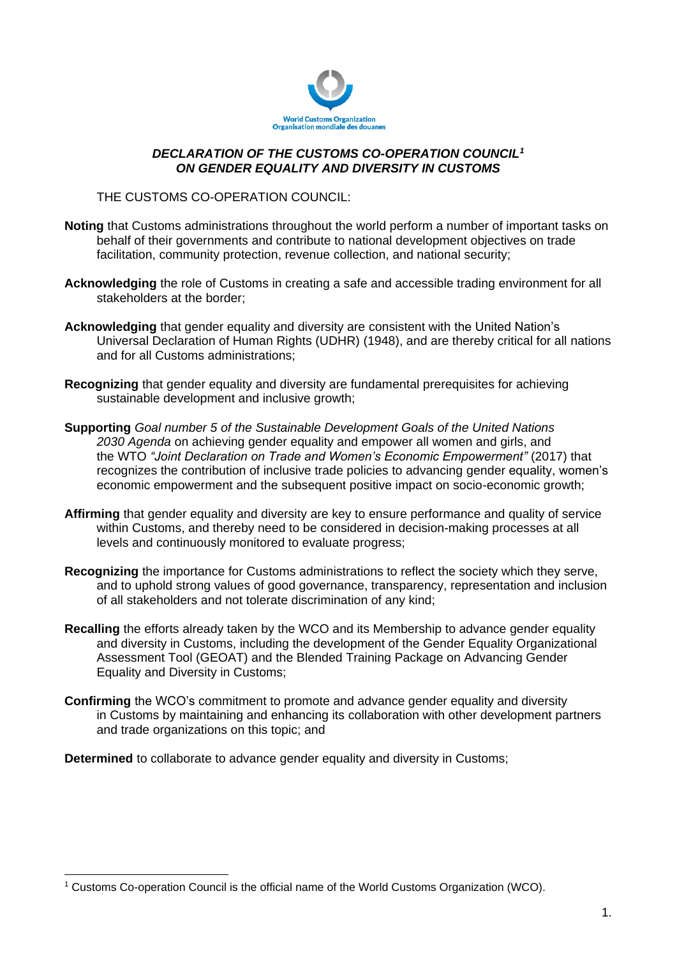

## *DECLARATION OF THE CUSTOMS CO-OPERATION COUNCIL<sup>1</sup> ON GENDER EQUALITY AND DIVERSITY IN CUSTOMS*

## THE CUSTOMS CO-OPERATION COUNCIL:

- **Noting** that Customs administrations throughout the world perform a number of important tasks on behalf of their governments and contribute to national development objectives on trade facilitation, community protection, revenue collection, and national security;
- **Acknowledging** the role of Customs in creating a safe and accessible trading environment for all stakeholders at the border;
- **Acknowledging** that gender equality and diversity are consistent with the United Nation's Universal Declaration of Human Rights (UDHR) (1948), and are thereby critical for all nations and for all Customs administrations;
- **Recognizing** that gender equality and diversity are fundamental prerequisites for achieving sustainable development and inclusive growth;
- **Supporting** *Goal number 5 of the Sustainable Development Goals of the United Nations 2030 Agenda* on achieving gender equality and empower all women and girls, and the WTO *"Joint Declaration on Trade and Women's Economic Empowerment"* (2017) that recognizes the contribution of inclusive trade policies to advancing gender equality, women's economic empowerment and the subsequent positive impact on socio-economic growth;
- **Affirming** that gender equality and diversity are key to ensure performance and quality of service within Customs, and thereby need to be considered in decision-making processes at all levels and continuously monitored to evaluate progress;
- **Recognizing** the importance for Customs administrations to reflect the society which they serve, and to uphold strong values of good governance, transparency, representation and inclusion of all stakeholders and not tolerate discrimination of any kind;
- **Recalling** the efforts already taken by the WCO and its Membership to advance gender equality and diversity in Customs, including the development of the Gender Equality Organizational Assessment Tool (GEOAT) and the Blended Training Package on Advancing Gender Equality and Diversity in Customs;
- **Confirming** the WCO's commitment to promote and advance gender equality and diversity in Customs by maintaining and enhancing its collaboration with other development partners and trade organizations on this topic; and

**Determined** to collaborate to advance gender equality and diversity in Customs;

<sup>-</sup><sup>1</sup> Customs Co-operation Council is the official name of the World Customs Organization (WCO).